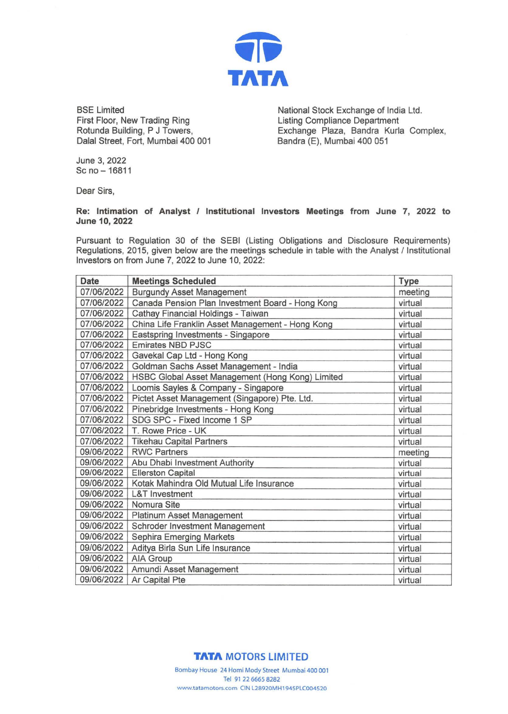

BSE Limited First Floor, New Trading Ring Rotunda Building, P J Towers, Dalal Street, Fort, Mumbai 400 001 National Stock Exchange of India Ltd. Listing Compliance Department Exchange Plaza, Sandra Kurla Complex, Bandra (E), Mumbai 400 051

June 3, 2022  $Sc$  no  $- 16811$ 

Dear Sirs,

## **Re: Intimation of Analyst I Institutional Investors Meetings from June 7, 2022 to June 10, 2022**

Pursuant to Regulation 30 of the SEBI (Listing Obligations and Disclosure Requirements) Regulations, 2015, given below are the meetings schedule in table with the Analyst / Institutional Investors on from June 7, 2022 to June 10, 2022:

| <b>Date</b> | <b>Meetings Scheduled</b>                        | <b>Type</b> |
|-------------|--------------------------------------------------|-------------|
| 07/06/2022  | <b>Burgundy Asset Management</b>                 | meeting     |
| 07/06/2022  | Canada Pension Plan Investment Board - Hong Kong | virtual     |
| 07/06/2022  | Cathay Financial Holdings - Taiwan               | virtual     |
| 07/06/2022  | China Life Franklin Asset Management - Hong Kong | virtual     |
| 07/06/2022  | Eastspring Investments - Singapore               | virtual     |
| 07/06/2022  | <b>Emirates NBD PJSC</b>                         | virtual     |
| 07/06/2022  | Gavekal Cap Ltd - Hong Kong                      | virtual     |
| 07/06/2022  | Goldman Sachs Asset Management - India           | virtual     |
| 07/06/2022  | HSBC Global Asset Management (Hong Kong) Limited | virtual     |
| 07/06/2022  | Loomis Sayles & Company - Singapore              | virtual     |
| 07/06/2022  | Pictet Asset Management (Singapore) Pte. Ltd.    | virtual     |
| 07/06/2022  | Pinebridge Investments - Hong Kong               | virtual     |
| 07/06/2022  | SDG SPC - Fixed Income 1 SP                      | virtual     |
| 07/06/2022  | T. Rowe Price - UK                               | virtual     |
| 07/06/2022  | <b>Tikehau Capital Partners</b>                  | virtual     |
| 09/06/2022  | <b>RWC Partners</b>                              | meeting     |
| 09/06/2022  | Abu Dhabi Investment Authority                   | virtual     |
| 09/06/2022  | <b>Ellerston Capital</b>                         | virtual     |
| 09/06/2022  | Kotak Mahindra Old Mutual Life Insurance         | virtual     |
| 09/06/2022  | <b>L&amp;T</b> Investment                        | virtual     |
| 09/06/2022  | Nomura Site                                      | virtual     |
| 09/06/2022  | Platinum Asset Management                        | virtual     |
| 09/06/2022  | Schroder Investment Management                   | virtual     |
| 09/06/2022  | Sephira Emerging Markets                         | virtual     |
| 09/06/2022  | Aditya Birla Sun Life Insurance                  | virtual     |
| 09/06/2022  | AIA Group                                        | virtual     |
| 09/06/2022  | Amundi Asset Management                          | virtual     |
| 09/06/2022  | Ar Capital Pte                                   | virtual     |

## **TATA MOTORS LIMITED**